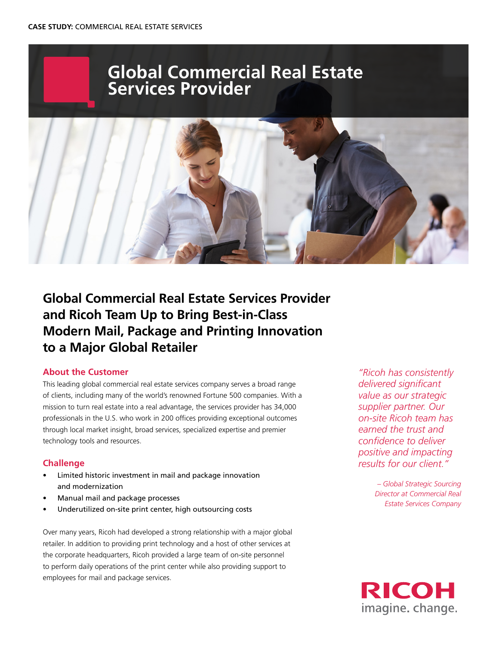# **Global Commercial Real Estate Services Provider**



## **Global Commercial Real Estate Services Provider and Ricoh Team Up to Bring Best-in-Class Modern Mail, Package and Printing Innovation to a Major Global Retailer**

#### **About the Customer**

This leading global commercial real estate services company serves a broad range of clients, including many of the world's renowned Fortune 500 companies. With a mission to turn real estate into a real advantage, the services provider has 34,000 professionals in the U.S. who work in 200 offices providing exceptional outcomes through local market insight, broad services, specialized expertise and premier technology tools and resources.

### **Challenge**

- Limited historic investment in mail and package innovation and modernization
- Manual mail and package processes
- Underutilized on-site print center, high outsourcing costs

Over many years, Ricoh had developed a strong relationship with a major global retailer. In addition to providing print technology and a host of other services at the corporate headquarters, Ricoh provided a large team of on-site personnel to perform daily operations of the print center while also providing support to employees for mail and package services.

*"Ricoh has consistently delivered significant value as our strategic supplier partner. Our on-site Ricoh team has earned the trust and confidence to deliver positive and impacting results for our client."*

> *– Global Strategic Sourcing Director at Commercial Real Estate Services Company*

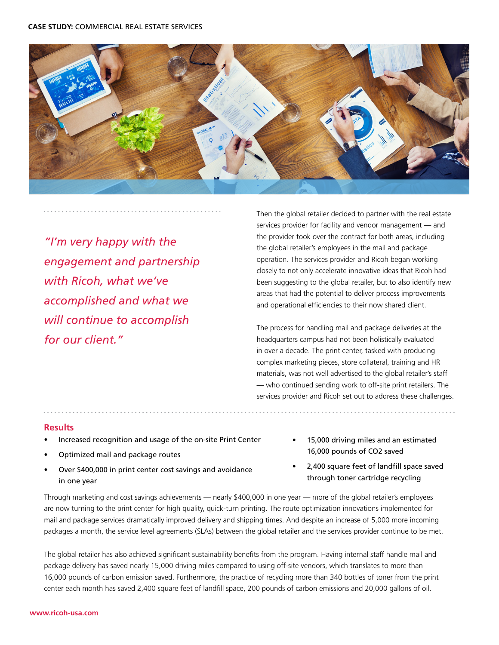

*"I'm very happy with the engagement and partnership with Ricoh, what we've accomplished and what we will continue to accomplish for our client."*

Then the global retailer decided to partner with the real estate services provider for facility and vendor management — and the provider took over the contract for both areas, including the global retailer's employees in the mail and package operation. The services provider and Ricoh began working closely to not only accelerate innovative ideas that Ricoh had been suggesting to the global retailer, but to also identify new areas that had the potential to deliver process improvements and operational efficiencies to their now shared client.

The process for handling mail and package deliveries at the headquarters campus had not been holistically evaluated in over a decade. The print center, tasked with producing complex marketing pieces, store collateral, training and HR materials, was not well advertised to the global retailer's staff — who continued sending work to off-site print retailers. The services provider and Ricoh set out to address these challenges.

#### **Results**

- Increased recognition and usage of the on-site Print Center
- Optimized mail and package routes
- Over \$400,000 in print center cost savings and avoidance in one year
- 15,000 driving miles and an estimated 16,000 pounds of CO2 saved
- 2,400 square feet of landfill space saved through toner cartridge recycling

Through marketing and cost savings achievements — nearly \$400,000 in one year — more of the global retailer's employees are now turning to the print center for high quality, quick-turn printing. The route optimization innovations implemented for mail and package services dramatically improved delivery and shipping times. And despite an increase of 5,000 more incoming packages a month, the service level agreements (SLAs) between the global retailer and the services provider continue to be met.

The global retailer has also achieved significant sustainability benefits from the program. Having internal staff handle mail and package delivery has saved nearly 15,000 driving miles compared to using off-site vendors, which translates to more than 16,000 pounds of carbon emission saved. Furthermore, the practice of recycling more than 340 bottles of toner from the print center each month has saved 2,400 square feet of landfill space, 200 pounds of carbon emissions and 20,000 gallons of oil.